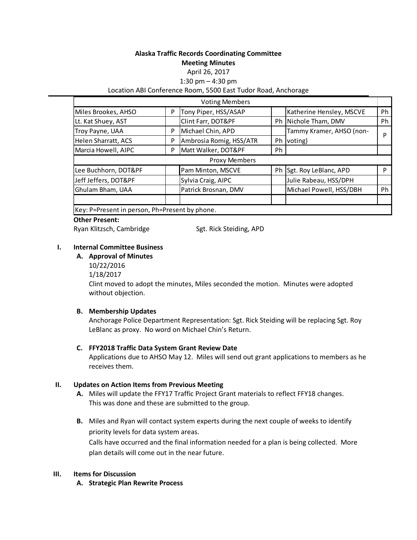# **Alaska Traffic Records Coordinating Committee**

**Meeting Minutes**

#### April 26, 2017

1:30 pm – 4:30 pm

## Location ABI Conference Room, 5500 East Tudor Road, Anchorage

|                                                      |   | <b>Voting Members</b>   |    |                          |    |
|------------------------------------------------------|---|-------------------------|----|--------------------------|----|
| Miles Brookes, AHSO                                  | P | Tony Piper, HSS/ASAP    |    | Katherine Hensley, MSCVE | Ph |
| Lt. Kat Shuey, AST                                   |   | Clint Farr, DOT&PF      |    | Ph Nichole Tham, DMV     | Ph |
| Troy Payne, UAA                                      | P | Michael Chin, APD       |    | Tammy Kramer, AHSO (non- | P  |
| Helen Sharratt, ACS                                  | P | Ambrosia Romig, HSS/ATR | Ph | voting)                  |    |
| Marcia Howell, AIPC                                  | P | Matt Walker, DOT&PF     | Ph |                          |    |
|                                                      |   | Proxy Members           |    |                          |    |
| Lee Buchhorn, DOT&PF                                 |   | Pam Minton, MSCVE       |    | Ph Sgt. Roy LeBlanc, APD | D  |
| Jeff Jeffers, DOT&PF                                 |   | Sylvia Craig, AIPC      |    | Julie Rabeau, HSS/DPH    |    |
| Ghulam Bham, UAA                                     |   | Patrick Brosnan, DMV    |    | Michael Powell, HSS/DBH  | Ph |
|                                                      |   |                         |    |                          |    |
| Itarii D. Diisaankiin mamaan. Dh. Diisaankiin minama |   |                         |    |                          |    |

Key: P=Present in person, Ph=Present by phone.

### **Other Present:**

Ryan Klitzsch, Cambridge Sgt. Rick Steiding, APD

# **I. Internal Committee Business**

- **A. Approval of Minutes**  10/22/2016
	- 1/18/2017

Clint moved to adopt the minutes, Miles seconded the motion. Minutes were adopted without objection.

### **B. Membership Updates**

Anchorage Police Department Representation: Sgt. Rick Steiding will be replacing Sgt. Roy LeBlanc as proxy. No word on Michael Chin's Return.

### **C. FFY2018 Traffic Data System Grant Review Date**

Applications due to AHSO May 12. Miles will send out grant applications to members as he receives them.

### **II. Updates on Action Items from Previous Meeting**

- **A.** Miles will update the FFY17 Traffic Project Grant materials to reflect FFY18 changes. This was done and these are submitted to the group.
- **B.** Miles and Ryan will contact system experts during the next couple of weeks to identify priority levels for data system areas.

Calls have occurred and the final information needed for a plan is being collected. More plan details will come out in the near future.

### **III. Items for Discussion**

**A. Strategic Plan Rewrite Process**